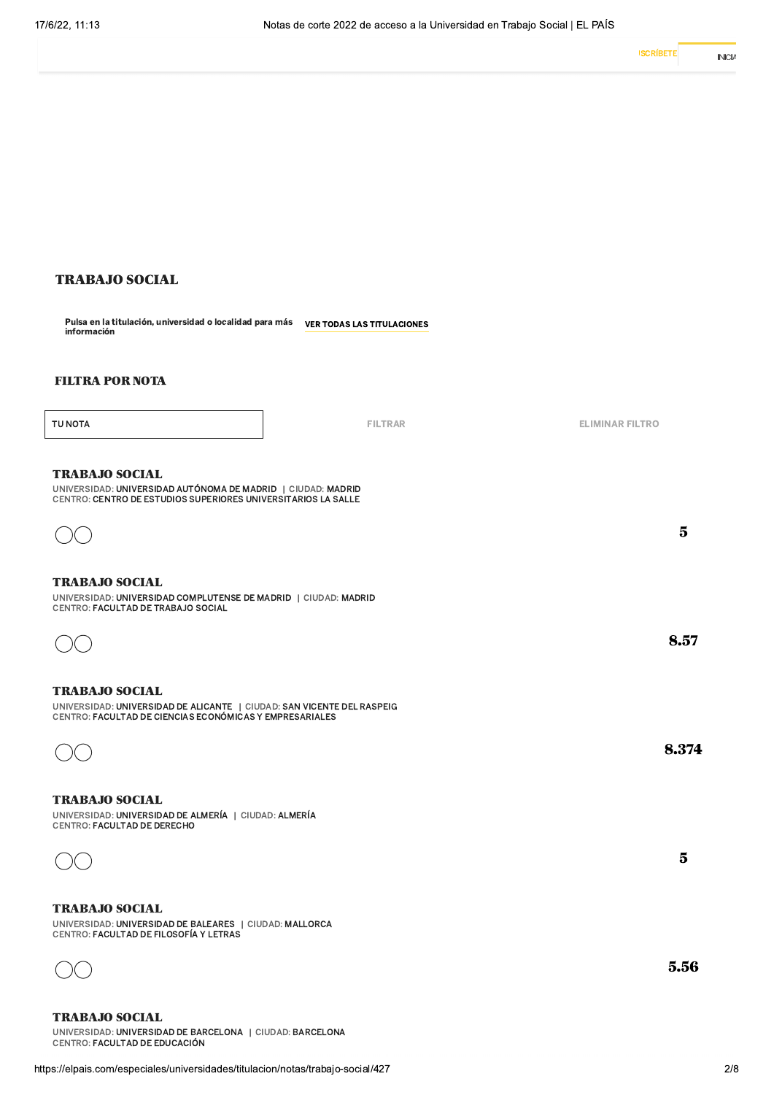## TRABAJO SOCIAL

Puisa en la titulación, universidad o localidad para más o ver todas las titulaciones<br>información

### FILTRA POR NOTA

TU NOTA

FILTRAR **ELIMINAR FILTRO** 

 $5\overline{)}$ 

8.57

8.374

 $\overline{5}$ 

5.56

#### TRABAJO SOCIAL

UNIVERSIDAD: UNIVERSIDAD AUTÓNOMA DE MADRID | CIUDAD: MADRID CENTRO: CENTRO DE ESTUDIOS SUPERIORES UNIVERSITARIOS LA SALLE



## TRABAJO SOCIAL

UNIVERSIDAD: UNIVERSIDAD COMPLUTENSE DE MADRID | CIUDAD: MADRID CENTRO: FACULTAD DE TRABAJO SOCIAL

| - 1<br>۰.<br>M.<br>۰. |  |
|-----------------------|--|
|                       |  |

#### TRABAJO SOCIAL

UNIVERSIDAD: UNIVERSIDAD DE ALICANȚE $\parallel$ CIUDAD: SAN VICENTE DEL RASPEIG GENTRO: FACULTAD DE CIENCIAS ECONOMICAS Y EMPRESARIALES



#### TRABAJO SOCIAL

UNIVERSIDAD: UNIVERSIDAD DE ALMERÍA | CIUDAD: ALMERÍA CENTRO: FACULTAD DE DERECHO



## TRABAJO SOCIAL

UNIVERSIDAD: UNIVERSIDAD DE BALEARES | CIUDAD: MALLORCA CENTRO: FACULTAD DE FILOSOFÍA Y LETRAS



TRABAJO SOCIAL

TRABAJO SOCIAL<br>
UNIVERSIDAD: UNIVERSIDAD DE BARCELONA | CIUDAD: BARCELONA<br>
CENTRO: FACULTAD DE EDUCACIÓN<br>
https://elpais.com/especiales/universidades/titulacion/notas/trabajo-social/427 UNIVERSIDAD: UNIVERSIDAD DE BARCELONA | CIUDAD: BARCELONA CENTRO: FACULTAD DE EDUCACIÓN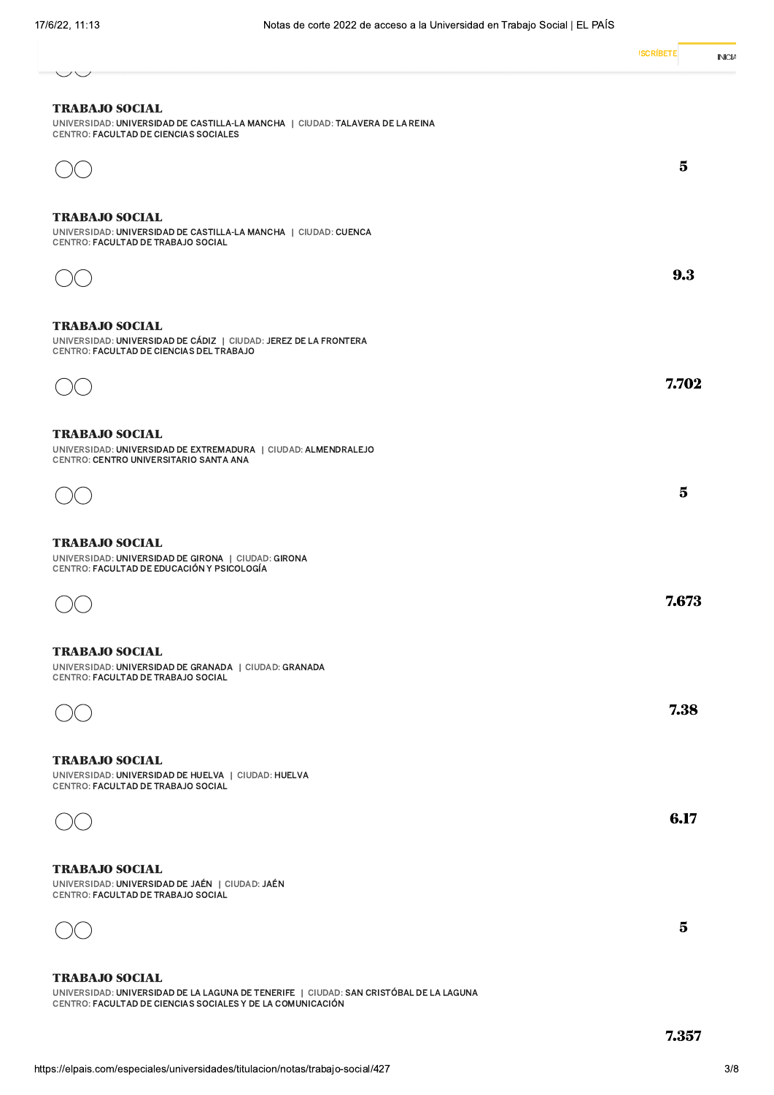| $\smile\smile$                                                                                                                                                                | <b>ISCRÍBETE</b><br>INICL |
|-------------------------------------------------------------------------------------------------------------------------------------------------------------------------------|---------------------------|
| <b>TRABAJO SOCIAL</b><br>UNIVERSIDAD: UNIVERSIDAD DE CASTILLA-LA MANCHA   CIUDAD: TALAVERA DE LA REINA<br>CENTRO: FACULTAD DE CIENCIAS SOCIALES                               |                           |
|                                                                                                                                                                               | $\bf{5}$                  |
| <b>TRABAJO SOCIAL</b><br>UNIVERSIDAD: UNIVERSIDAD DE CASTILLA-LA MANCHA   CIUDAD: CUENCA<br>CENTRO: FACULTAD DE TRABAJO SOCIAL                                                |                           |
|                                                                                                                                                                               | 9.3                       |
| <b>TRABAJO SOCIAL</b><br>UNIVERSIDAD: UNIVERSIDAD DE CÁDIZ   CIUDAD: JEREZ DE LA FRONTERA<br>CENTRO: FACULTAD DE CIENCIAS DEL TRABAJO                                         |                           |
|                                                                                                                                                                               | 7.702                     |
| <b>TRABAJO SOCIAL</b><br>UNIVERSIDAD: UNIVERSIDAD DE EXTREMADURA   CIUDAD: ALMENDRALEJO<br>CENTRO: CENTRO UNIVERSITARIO SANTA ANA                                             |                           |
|                                                                                                                                                                               | $\bf{5}$                  |
| <b>TRABAJO SOCIAL</b><br>UNIVERSIDAD: UNIVERSIDAD DE GIRONA   CIUDAD: GIRONA<br>CENTRO: FACULTAD DE EDUCACIÓN Y PSICOLOGÍA                                                    |                           |
|                                                                                                                                                                               | 7.673                     |
| <b>TRABAJO SOCIAL</b><br>UNIVERSIDAD: UNIVERSIDAD DE GRANADA   CIUDAD: GRANADA<br>CENTRO: FACULTAD DE TRABAJO SOCIAL                                                          |                           |
|                                                                                                                                                                               | 7.38                      |
| <b>TRABAJO SOCIAL</b><br>UNIVERSIDAD: UNIVERSIDAD DE HUELVA   CIUDAD: HUELVA<br>CENTRO: FACULTAD DE TRABAJO SOCIAL                                                            |                           |
|                                                                                                                                                                               | 6.17                      |
| <b>TRABAJO SOCIAL</b><br>UNIVERSIDAD: UNIVERSIDAD DE JAÉN   CIUDAD: JAÉN<br>CENTRO: FACULTAD DE TRABAJO SOCIAL                                                                |                           |
|                                                                                                                                                                               | $\bf{5}$                  |
| <b>TRABAJO SOCIAL</b><br>UNIVERSIDAD: UNIVERSIDAD DE LA LAGUNA DE TENERIFE   CIUDAD: SAN CRISTÓBAL DE LA LAGUNA<br>CENTRO: FACULTAD DE CIENCIAS SOCIALES Y DE LA COMUNICACIÓN |                           |
|                                                                                                                                                                               | 7.357                     |
| https://elpais.com/especiales/universidades/titulacion/notas/trabajo-social/427                                                                                               | 3/8                       |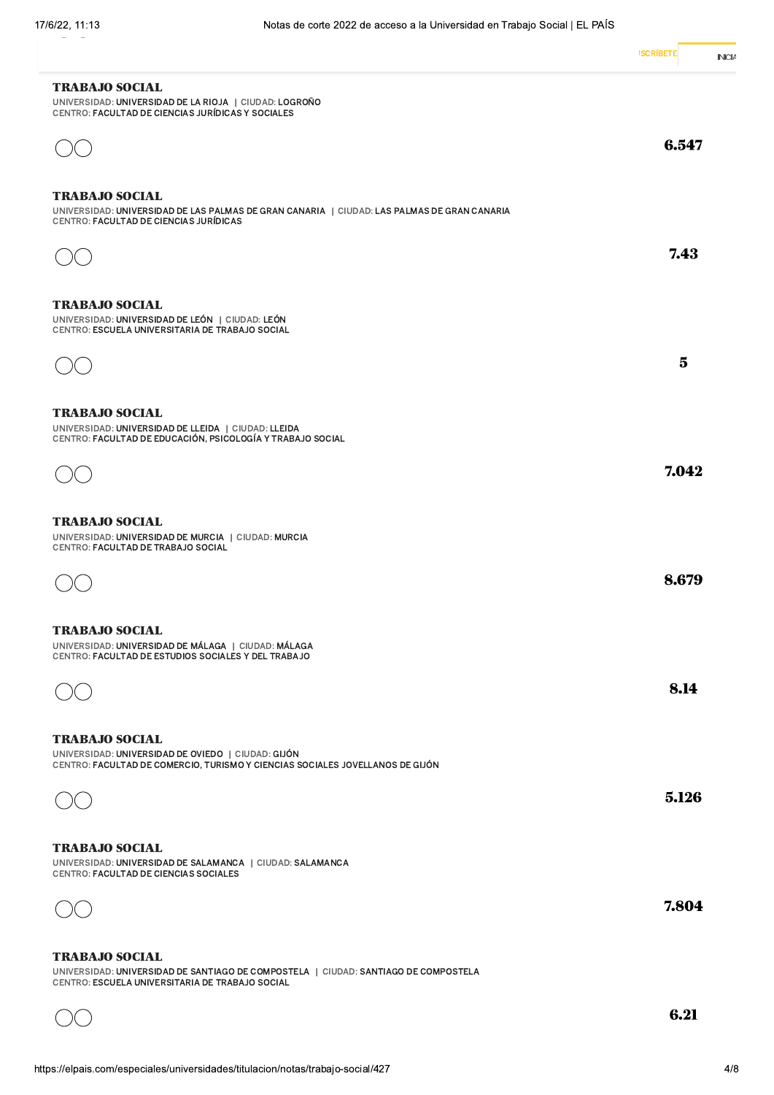|                                                                                                                                                                 | <b>ISCRIBETE</b><br>INICL |
|-----------------------------------------------------------------------------------------------------------------------------------------------------------------|---------------------------|
| <b>TRABAJO SOCIAL</b><br>UNIVERSIDAD: UNIVERSIDAD DE LA RIOJA   CIUDAD: LOGROÑO<br>CENTRO: FACULTAD DE CIENCIAS JURÍDICAS Y SOCIALES                            |                           |
|                                                                                                                                                                 | 6.547                     |
| <b>TRABAJO SOCIAL</b><br>UNIVERSIDAD: UNIVERSIDAD DE LAS PALMAS DE GRAN CANARIA   CIUDAD: LAS PALMAS DE GRAN CANARIA<br>CENTRO: FACULTAD DE CIENCIAS JURÍDICAS  |                           |
|                                                                                                                                                                 | 7.43                      |
| <b>TRABAJO SOCIAL</b><br>UNIVERSIDAD: UNIVERSIDAD DE LEÓN   CIUDAD: LEÓN<br>CENTRO: ESCUELA UNIVERSITARIA DE TRABAJO SOCIAL                                     |                           |
|                                                                                                                                                                 | $\bf{5}$                  |
| <b>TRABAJO SOCIAL</b><br>UNIVERSIDAD: UNIVERSIDAD DE LLEIDA   CIUDAD: LLEIDA<br>CENTRO: FACULTAD DE EDUCACIÓN, PSICOLOGÍA Y TRABAJO SOCIAL                      |                           |
|                                                                                                                                                                 | 7.042                     |
| <b>TRABAJO SOCIAL</b><br>UNIVERSIDAD: UNIVERSIDAD DE MURCIA   CIUDAD: MURCIA<br>CENTRO: FACULTAD DE TRABAJO SOCIAL                                              |                           |
|                                                                                                                                                                 | 8.679                     |
| <b>TRABAJO SOCIAL</b><br>UNIVERSIDAD: UNIVERSIDAD DE MÁLAGA   CIUDAD: MÁLAGA<br>CENTRO: FACULTAD DE ESTUDIOS SOCIALES Y DEL TRABAJO                             |                           |
|                                                                                                                                                                 | 8.14                      |
| <b>TRABAJO SOCIAL</b><br>UNIVERSIDAD: UNIVERSIDAD DE OVIEDO   CIUDAD: GIJÓN<br>CENTRO: FACULTAD DE COMERCIO, TURISMO Y CIENCIAS SOCIALES JOVELLANOS DE GIJÓN    |                           |
|                                                                                                                                                                 | 5.126                     |
| <b>TRABAJO SOCIAL</b><br>UNIVERSIDAD: UNIVERSIDAD DE SALAMANCA   CIUDAD: SALAMANCA<br>CENTRO: FACULTAD DE CIENCIAS SOCIALES                                     |                           |
|                                                                                                                                                                 | 7.804                     |
| <b>TRABAJO SOCIAL</b><br>UNIVERSIDAD: UNIVERSIDAD DE SANTIAGO DE COMPOSTELA   CIUDAD: SANTIAGO DE COMPOSTELA<br>CENTRO: ESCUELA UNIVERSITARIA DE TRABAJO SOCIAL |                           |
|                                                                                                                                                                 | 6.21                      |

 $OC$